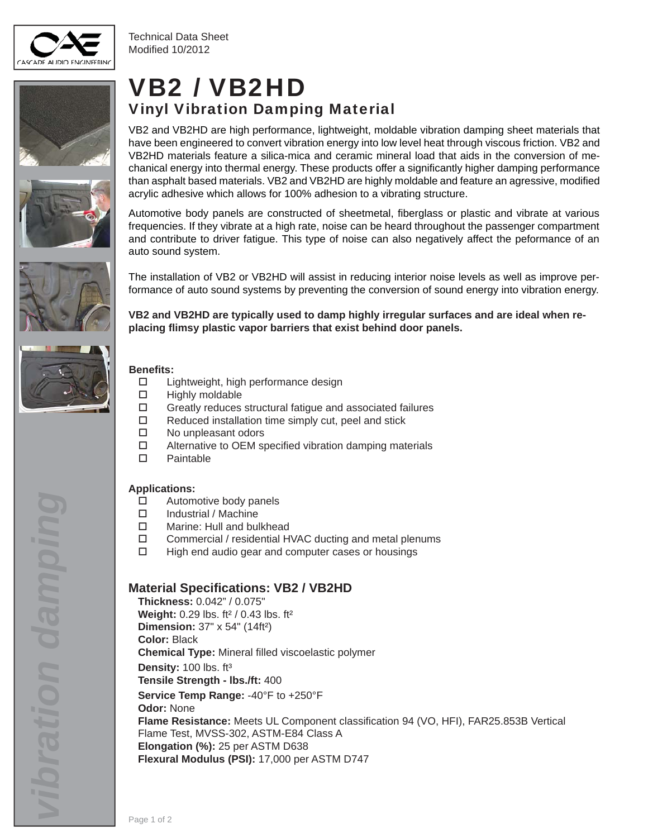

Technical Data Sheet Modified 10/2012









## VB2 / VB2HD Vinyl Vibration Damping Material

VB2 and VB2HD are high performance, lightweight, moldable vibration damping sheet materials that have been engineered to convert vibration energy into low level heat through viscous friction. VB2 and VB2HD materials feature a silica-mica and ceramic mineral load that aids in the conversion of mechanical energy into thermal energy. These products offer a significantly higher damping performance than asphalt based materials. VB2 and VB2HD are highly moldable and feature an agressive, modified acrylic adhesive which allows for 100% adhesion to a vibrating structure.

Automotive body panels are constructed of sheetmetal, fiberglass or plastic and vibrate at various frequencies. If they vibrate at a high rate, noise can be heard throughout the passenger compartment and contribute to driver fatigue. This type of noise can also negatively affect the peformance of an auto sound system.

The installation of VB2 or VB2HD will assist in reducing interior noise levels as well as improve performance of auto sound systems by preventing the conversion of sound energy into vibration energy.

**VB2 and VB2HD are typically used to damp highly irregular surfaces and are ideal when replacing fl imsy plastic vapor barriers that exist behind door panels.**

#### **Benefi ts:**

- □ Lightweight, high performance design
- $\Box$  Highly moldable
- $\Box$  Greatly reduces structural fatigue and associated failures
- $\Box$  Reduced installation time simply cut, peel and stick
- □ No unpleasant odors
- $\square$  Alternative to OEM specified vibration damping materials
- □ Paintable

#### **Applications:**

- □ Automotive body panels
- □ Industrial / Machine
- □ Marine: Hull and bulkhead
- $\square$  Commercial / residential HVAC ducting and metal plenums
- $\Box$  High end audio gear and computer cases or housings

#### **Material Specifi cations: VB2 / VB2HD**

**Thickness:** 0.042" / 0.075" **Weight:** 0.29 lbs. ft² / 0.43 lbs. ft² **Dimension:** 37" x 54" (14ft²) **Color:** Black **Chemical Type:** Mineral filled viscoelastic polymer **Density:** 100 lbs. ft³ **Tensile Strength - lbs./ft:** 400 **Service Temp Range:** -40°F to +250°F **Odor:** None Flame Resistance: Meets UL Component classification 94 (VO, HFI), FAR25.853B Vertical Flame Test, MVSS-302, ASTM-E84 Class A **Elongation (%):** 25 per ASTM D638 **Flexural Modulus (PSI):** 17,000 per ASTM D747